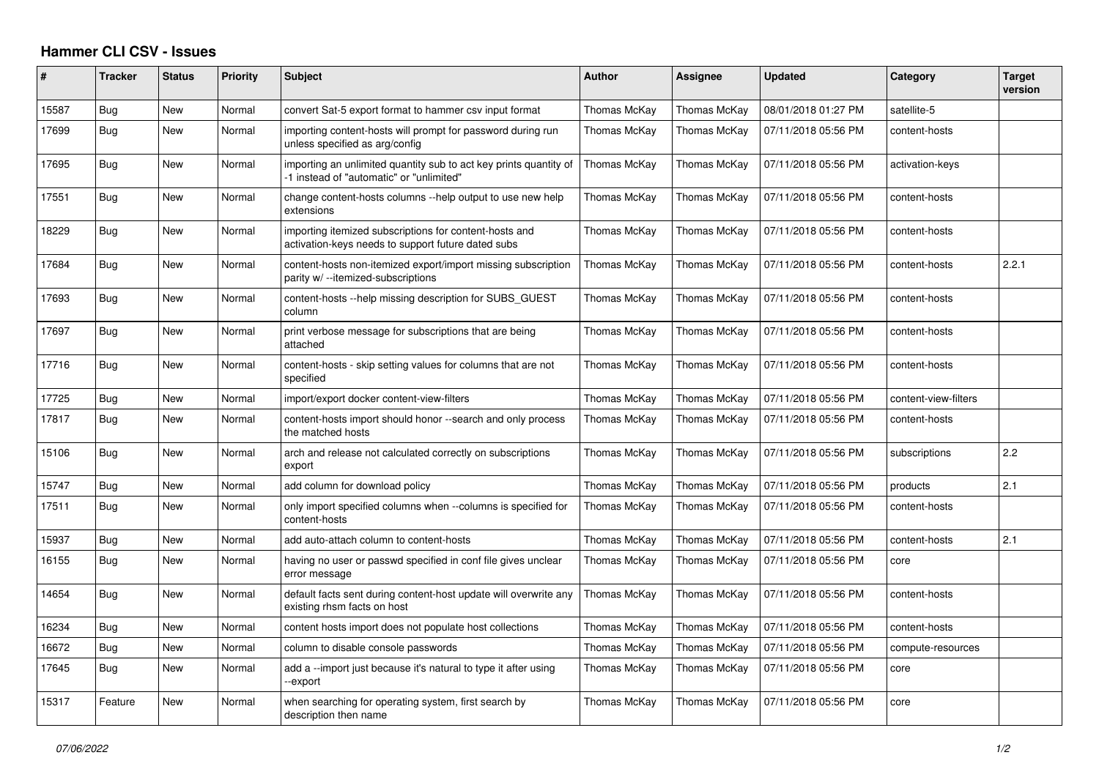## **Hammer CLI CSV - Issues**

| #     | <b>Tracker</b> | <b>Status</b> | <b>Priority</b> | <b>Subject</b>                                                                                                | <b>Author</b> | <b>Assignee</b> | <b>Updated</b>      | Category             | <b>Target</b><br>version |
|-------|----------------|---------------|-----------------|---------------------------------------------------------------------------------------------------------------|---------------|-----------------|---------------------|----------------------|--------------------------|
| 15587 | Bug            | <b>New</b>    | Normal          | convert Sat-5 export format to hammer csv input format                                                        | Thomas McKay  | Thomas McKay    | 08/01/2018 01:27 PM | satellite-5          |                          |
| 17699 | <b>Bug</b>     | New           | Normal          | importing content-hosts will prompt for password during run<br>unless specified as arg/config                 | Thomas McKay  | Thomas McKay    | 07/11/2018 05:56 PM | content-hosts        |                          |
| 17695 | Bug            | New           | Normal          | importing an unlimited quantity sub to act key prints quantity of<br>-1 instead of "automatic" or "unlimited" | Thomas McKay  | Thomas McKay    | 07/11/2018 05:56 PM | activation-keys      |                          |
| 17551 | Bug            | <b>New</b>    | Normal          | change content-hosts columns --help output to use new help<br>extensions                                      | Thomas McKay  | Thomas McKay    | 07/11/2018 05:56 PM | content-hosts        |                          |
| 18229 | <b>Bug</b>     | New           | Normal          | importing itemized subscriptions for content-hosts and<br>activation-keys needs to support future dated subs  | Thomas McKav  | Thomas McKav    | 07/11/2018 05:56 PM | content-hosts        |                          |
| 17684 | Bug            | New           | Normal          | content-hosts non-itemized export/import missing subscription<br>parity w/ --itemized-subscriptions           | Thomas McKay  | Thomas McKay    | 07/11/2018 05:56 PM | content-hosts        | 2.2.1                    |
| 17693 | Bug            | New           | Normal          | content-hosts --help missing description for SUBS GUEST<br>column                                             | Thomas McKay  | Thomas McKay    | 07/11/2018 05:56 PM | content-hosts        |                          |
| 17697 | Bug            | New           | Normal          | print verbose message for subscriptions that are being<br>attached                                            | Thomas McKay  | Thomas McKay    | 07/11/2018 05:56 PM | content-hosts        |                          |
| 17716 | <b>Bug</b>     | New           | Normal          | content-hosts - skip setting values for columns that are not<br>specified                                     | Thomas McKay  | Thomas McKay    | 07/11/2018 05:56 PM | content-hosts        |                          |
| 17725 | Bug            | New           | Normal          | import/export docker content-view-filters                                                                     | Thomas McKay  | Thomas McKay    | 07/11/2018 05:56 PM | content-view-filters |                          |
| 17817 | Bug            | New           | Normal          | content-hosts import should honor --search and only process<br>the matched hosts                              | Thomas McKay  | Thomas McKay    | 07/11/2018 05:56 PM | content-hosts        |                          |
| 15106 | <b>Bug</b>     | New           | Normal          | arch and release not calculated correctly on subscriptions<br>export                                          | Thomas McKay  | Thomas McKay    | 07/11/2018 05:56 PM | subscriptions        | 2.2                      |
| 15747 | Bug            | New           | Normal          | add column for download policy                                                                                | Thomas McKay  | Thomas McKay    | 07/11/2018 05:56 PM | products             | 2.1                      |
| 17511 | <b>Bug</b>     | New           | Normal          | only import specified columns when --columns is specified for<br>content-hosts                                | Thomas McKay  | Thomas McKay    | 07/11/2018 05:56 PM | content-hosts        |                          |
| 15937 | Bug            | New           | Normal          | add auto-attach column to content-hosts                                                                       | Thomas McKay  | Thomas McKay    | 07/11/2018 05:56 PM | content-hosts        | 2.1                      |
| 16155 | Bug            | New           | Normal          | having no user or passwd specified in conf file gives unclear<br>error message                                | Thomas McKav  | Thomas McKay    | 07/11/2018 05:56 PM | core                 |                          |
| 14654 | <b>Bug</b>     | <b>New</b>    | Normal          | default facts sent during content-host update will overwrite any<br>existing rhsm facts on host               | Thomas McKay  | Thomas McKay    | 07/11/2018 05:56 PM | content-hosts        |                          |
| 16234 | Bug            | New           | Normal          | content hosts import does not populate host collections                                                       | Thomas McKay  | Thomas McKay    | 07/11/2018 05:56 PM | content-hosts        |                          |
| 16672 | Bug            | New           | Normal          | column to disable console passwords                                                                           | Thomas McKay  | Thomas McKay    | 07/11/2018 05:56 PM | compute-resources    |                          |
| 17645 | Bug            | New           | Normal          | add a --import just because it's natural to type it after using<br>-export                                    | Thomas McKay  | Thomas McKay    | 07/11/2018 05:56 PM | core                 |                          |
| 15317 | Feature        | New           | Normal          | when searching for operating system, first search by<br>description then name                                 | Thomas McKay  | Thomas McKay    | 07/11/2018 05:56 PM | core                 |                          |